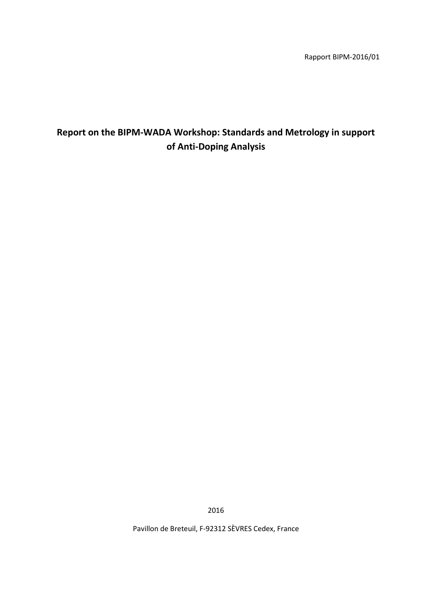Rapport BIPM-2016/01

# **Report on the BIPM-WADA Workshop: Standards and Metrology in support of Anti-Doping Analysis**

2016

Pavillon de Breteuil, F-92312 SÈVRES Cedex, France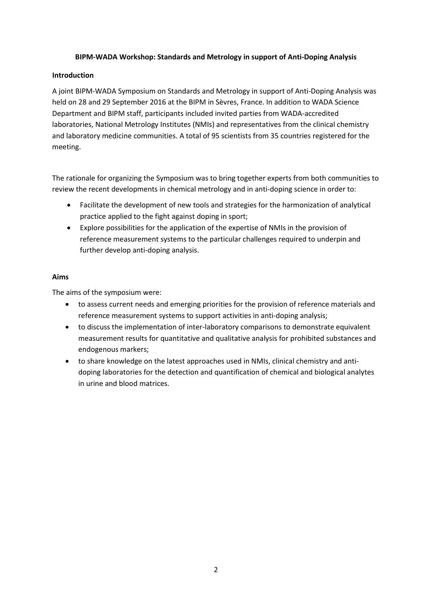#### **BIPM-WADA Workshop: Standards and Metrology in support of Anti-Doping Analysis**

#### **Introduction**

A joint BIPM-WADA Symposium on Standards and Metrology in support of Anti-Doping Analysis was held on 28 and 29 September 2016 at the BIPM in Sèvres, France. In addition to WADA Science Department and BIPM staff, participants included invited parties from WADA-accredited laboratories, National Metrology Institutes (NMIs) and representatives from the clinical chemistry and laboratory medicine communities. A total of 95 scientists from 35 countries registered for the meeting.

The rationale for organizing the Symposium was to bring together experts from both communities to review the recent developments in chemical metrology and in anti-doping science in order to:

- Facilitate the development of new tools and strategies for the harmonization of analytical practice applied to the fight against doping in sport;
- Explore possibilities for the application of the expertise of NMIs in the provision of reference measurement systems to the particular challenges required to underpin and further develop anti-doping analysis.

#### **Aims**

The aims of the symposium were:

- to assess current needs and emerging priorities for the provision of reference materials and reference measurement systems to support activities in anti-doping analysis;
- to discuss the implementation of inter-laboratory comparisons to demonstrate equivalent measurement results for quantitative and qualitative analysis for prohibited substances and endogenous markers;
- to share knowledge on the latest approaches used in NMIs, clinical chemistry and antidoping laboratories for the detection and quantification of chemical and biological analytes in urine and blood matrices.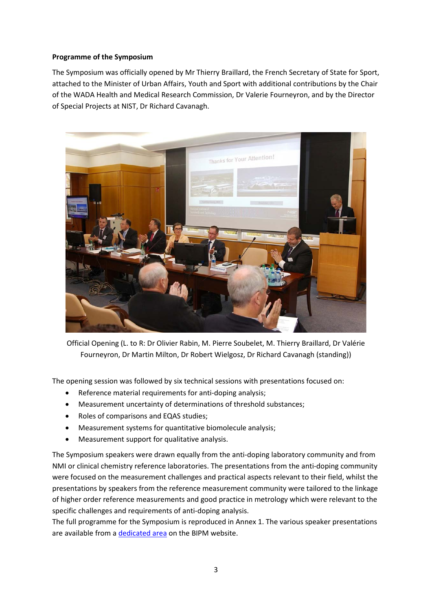#### **Programme of the Symposium**

The Symposium was officially opened by Mr Thierry Braillard, the French Secretary of State for Sport, attached to the Minister of Urban Affairs, Youth and Sport with additional contributions by the Chair of the WADA Health and Medical Research Commission, Dr Valerie Fourneyron, and by the Director of Special Projects at NIST, Dr Richard Cavanagh.



Official Opening (L. to R: Dr Olivier Rabin, M. Pierre Soubelet, M. Thierry Braillard, Dr Valérie Fourneyron, Dr Martin Milton, Dr Robert Wielgosz, Dr Richard Cavanagh (standing))

The opening session was followed by six technical sessions with presentations focused on:

- Reference material requirements for anti-doping analysis;
- Measurement uncertainty of determinations of threshold substances;
- Roles of comparisons and EQAS studies;
- Measurement systems for quantitative biomolecule analysis;
- Measurement support for qualitative analysis.

The Symposium speakers were drawn equally from the anti-doping laboratory community and from NMI or clinical chemistry reference laboratories. The presentations from the anti-doping community were focused on the measurement challenges and practical aspects relevant to their field, whilst the presentations by speakers from the reference measurement community were tailored to the linkage of higher order reference measurements and good practice in metrology which were relevant to the specific challenges and requirements of anti-doping analysis.

The full programme for the Symposium is reproduced in Annex 1. The various speaker presentations are available from a [dedicated area](http://www.bipm.org/ws/CCQM/WADA2016/Restricted/welcome.jsp?ws=WADA2016) on the BIPM website.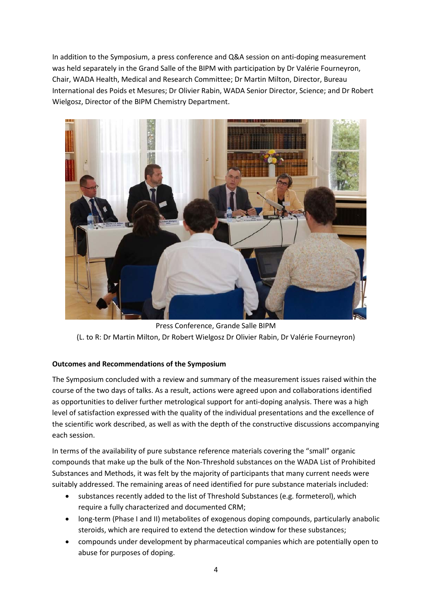In addition to the Symposium, a press conference and Q&A session on anti-doping measurement was held separately in the Grand Salle of the BIPM with participation by Dr Valérie Fourneyron, Chair, WADA Health, Medical and Research Committee; Dr Martin Milton, Director, Bureau International des Poids et Mesures; Dr Olivier Rabin, WADA Senior Director, Science; and Dr Robert Wielgosz, Director of the BIPM Chemistry Department.



Press Conference, Grande Salle BIPM (L. to R: Dr Martin Milton, Dr Robert Wielgosz Dr Olivier Rabin, Dr Valérie Fourneyron)

### **Outcomes and Recommendations of the Symposium**

The Symposium concluded with a review and summary of the measurement issues raised within the course of the two days of talks. As a result, actions were agreed upon and collaborations identified as opportunities to deliver further metrological support for anti-doping analysis. There was a high level of satisfaction expressed with the quality of the individual presentations and the excellence of the scientific work described, as well as with the depth of the constructive discussions accompanying each session.

In terms of the availability of pure substance reference materials covering the "small" organic compounds that make up the bulk of the Non-Threshold substances on the WADA List of Prohibited Substances and Methods, it was felt by the majority of participants that many current needs were suitably addressed. The remaining areas of need identified for pure substance materials included:

- substances recently added to the list of Threshold Substances (e.g. formeterol), which require a fully characterized and documented CRM;
- long-term (Phase I and II) metabolites of exogenous doping compounds, particularly anabolic steroids, which are required to extend the detection window for these substances;
- compounds under development by pharmaceutical companies which are potentially open to abuse for purposes of doping.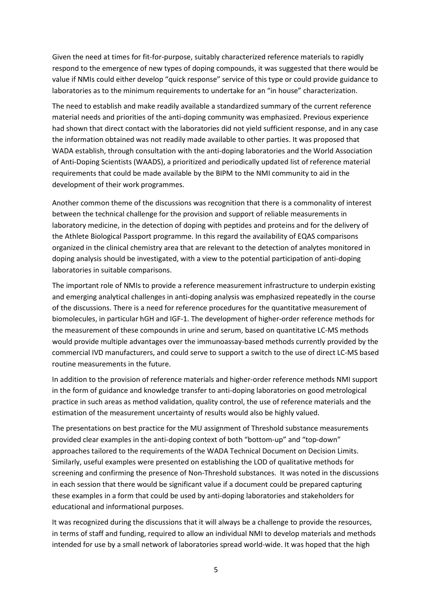Given the need at times for fit-for-purpose, suitably characterized reference materials to rapidly respond to the emergence of new types of doping compounds, it was suggested that there would be value if NMIs could either develop "quick response" service of this type or could provide guidance to laboratories as to the minimum requirements to undertake for an "in house" characterization.

The need to establish and make readily available a standardized summary of the current reference material needs and priorities of the anti-doping community was emphasized. Previous experience had shown that direct contact with the laboratories did not yield sufficient response, and in any case the information obtained was not readily made available to other parties. It was proposed that WADA establish, through consultation with the anti-doping laboratories and the World Association of Anti-Doping Scientists (WAADS), a prioritized and periodically updated list of reference material requirements that could be made available by the BIPM to the NMI community to aid in the development of their work programmes.

Another common theme of the discussions was recognition that there is a commonality of interest between the technical challenge for the provision and support of reliable measurements in laboratory medicine, in the detection of doping with peptides and proteins and for the delivery of the Athlete Biological Passport programme. In this regard the availability of EQAS comparisons organized in the clinical chemistry area that are relevant to the detection of analytes monitored in doping analysis should be investigated, with a view to the potential participation of anti-doping laboratories in suitable comparisons.

The important role of NMIs to provide a reference measurement infrastructure to underpin existing and emerging analytical challenges in anti-doping analysis was emphasized repeatedly in the course of the discussions. There is a need for reference procedures for the quantitative measurement of biomolecules, in particular hGH and IGF-1. The development of higher-order reference methods for the measurement of these compounds in urine and serum, based on quantitative LC-MS methods would provide multiple advantages over the immunoassay-based methods currently provided by the commercial IVD manufacturers, and could serve to support a switch to the use of direct LC-MS based routine measurements in the future.

In addition to the provision of reference materials and higher-order reference methods NMI support in the form of guidance and knowledge transfer to anti-doping laboratories on good metrological practice in such areas as method validation, quality control, the use of reference materials and the estimation of the measurement uncertainty of results would also be highly valued.

The presentations on best practice for the MU assignment of Threshold substance measurements provided clear examples in the anti-doping context of both "bottom-up" and "top-down" approaches tailored to the requirements of the WADA Technical Document on Decision Limits. Similarly, useful examples were presented on establishing the LOD of qualitative methods for screening and confirming the presence of Non-Threshold substances. It was noted in the discussions in each session that there would be significant value if a document could be prepared capturing these examples in a form that could be used by anti-doping laboratories and stakeholders for educational and informational purposes.

It was recognized during the discussions that it will always be a challenge to provide the resources, in terms of staff and funding, required to allow an individual NMI to develop materials and methods intended for use by a small network of laboratories spread world-wide. It was hoped that the high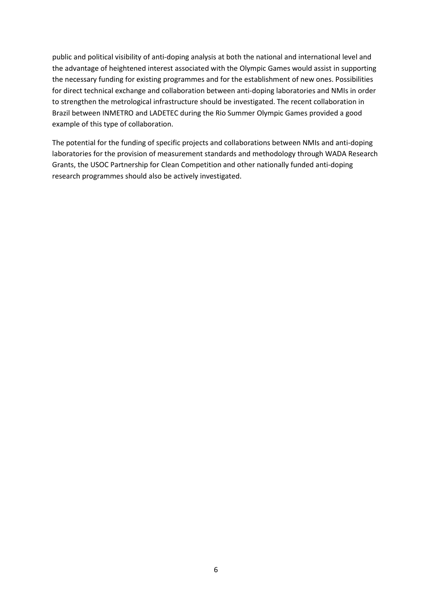public and political visibility of anti-doping analysis at both the national and international level and the advantage of heightened interest associated with the Olympic Games would assist in supporting the necessary funding for existing programmes and for the establishment of new ones. Possibilities for direct technical exchange and collaboration between anti-doping laboratories and NMIs in order to strengthen the metrological infrastructure should be investigated. The recent collaboration in Brazil between INMETRO and LADETEC during the Rio Summer Olympic Games provided a good example of this type of collaboration.

The potential for the funding of specific projects and collaborations between NMIs and anti-doping laboratories for the provision of measurement standards and methodology through WADA Research Grants, the USOC Partnership for Clean Competition and other nationally funded anti-doping research programmes should also be actively investigated.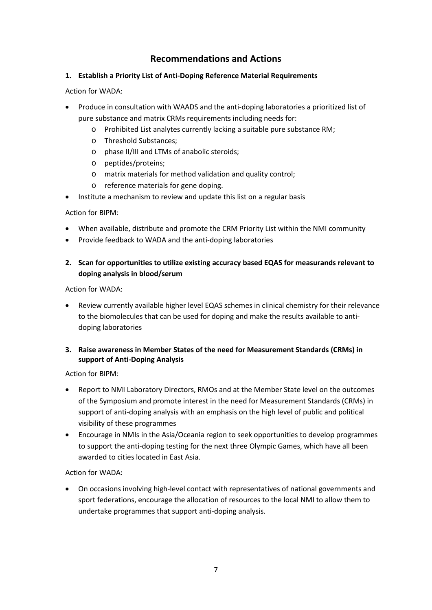## **Recommendations and Actions**

#### **1. Establish a Priority List of Anti-Doping Reference Material Requirements**

Action for WADA:

- Produce in consultation with WAADS and the anti-doping laboratories a prioritized list of pure substance and matrix CRMs requirements including needs for:
	- o Prohibited List analytes currently lacking a suitable pure substance RM;
	- o Threshold Substances;
	- o phase II/III and LTMs of anabolic steroids;
	- o peptides/proteins;
	- o matrix materials for method validation and quality control;
	- o reference materials for gene doping.
- Institute a mechanism to review and update this list on a regular basis

Action for BIPM:

- When available, distribute and promote the CRM Priority List within the NMI community
- Provide feedback to WADA and the anti-doping laboratories
- **2. Scan for opportunities to utilize existing accuracy based EQAS for measurands relevant to doping analysis in blood/serum**

Action for WADA:

• Review currently available higher level EQAS schemes in clinical chemistry for their relevance to the biomolecules that can be used for doping and make the results available to antidoping laboratories

### **3. Raise awareness in Member States of the need for Measurement Standards (CRMs) in support of Anti-Doping Analysis**

Action for BIPM:

- Report to NMI Laboratory Directors, RMOs and at the Member State level on the outcomes of the Symposium and promote interest in the need for Measurement Standards (CRMs) in support of anti-doping analysis with an emphasis on the high level of public and political visibility of these programmes
- Encourage in NMIs in the Asia/Oceania region to seek opportunities to develop programmes to support the anti-doping testing for the next three Olympic Games, which have all been awarded to cities located in East Asia.

Action for WADA:

• On occasions involving high-level contact with representatives of national governments and sport federations, encourage the allocation of resources to the local NMI to allow them to undertake programmes that support anti-doping analysis.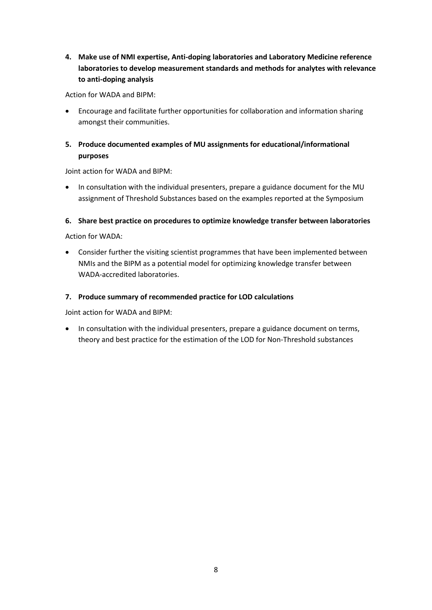**4. Make use of NMI expertise, Anti-doping laboratories and Laboratory Medicine reference laboratories to develop measurement standards and methods for analytes with relevance to anti-doping analysis**

Action for WADA and BIPM:

• Encourage and facilitate further opportunities for collaboration and information sharing amongst their communities.

### **5. Produce documented examples of MU assignments for educational/informational purposes**

Joint action for WADA and BIPM:

• In consultation with the individual presenters, prepare a guidance document for the MU assignment of Threshold Substances based on the examples reported at the Symposium

### **6. Share best practice on procedures to optimize knowledge transfer between laboratories**

Action for WADA:

• Consider further the visiting scientist programmes that have been implemented between NMIs and the BIPM as a potential model for optimizing knowledge transfer between WADA-accredited laboratories.

### **7. Produce summary of recommended practice for LOD calculations**

Joint action for WADA and BIPM:

• In consultation with the individual presenters, prepare a guidance document on terms, theory and best practice for the estimation of the LOD for Non-Threshold substances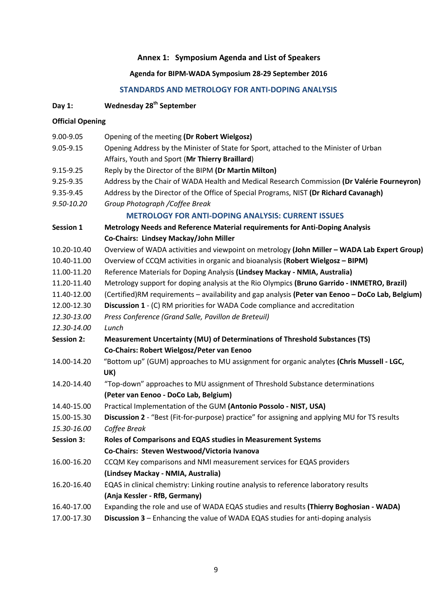## **Annex 1: Symposium Agenda and List of Speakers**

## **Agenda for BIPM-WADA Symposium 28-29 September 2016**

## **STANDARDS AND METROLOGY FOR ANTI-DOPING ANALYSIS**

## **Day 1: Wednesday 28th September**

#### **Official Opening**

| 9.00-9.05         | Opening of the meeting (Dr Robert Wielgosz)                                                          |
|-------------------|------------------------------------------------------------------------------------------------------|
| 9.05-9.15         | Opening Address by the Minister of State for Sport, attached to the Minister of Urban                |
|                   | Affairs, Youth and Sport (Mr Thierry Braillard)                                                      |
| 9.15-9.25         | Reply by the Director of the BIPM (Dr Martin Milton)                                                 |
| 9.25-9.35         | Address by the Chair of WADA Health and Medical Research Commission (Dr Valérie Fourneyron)          |
| 9.35-9.45         | Address by the Director of the Office of Special Programs, NIST (Dr Richard Cavanagh)                |
| 9.50-10.20        | Group Photograph / Coffee Break                                                                      |
|                   | <b>METROLOGY FOR ANTI-DOPING ANALYSIS: CURRENT ISSUES</b>                                            |
| Session 1         | Metrology Needs and Reference Material requirements for Anti-Doping Analysis                         |
|                   | Co-Chairs: Lindsey Mackay/John Miller                                                                |
| 10.20-10.40       | Overview of WADA activities and viewpoint on metrology (John Miller - WADA Lab Expert Group)         |
| 10.40-11.00       | Overview of CCQM activities in organic and bioanalysis (Robert Wielgosz - BIPM)                      |
| 11.00-11.20       | Reference Materials for Doping Analysis (Lindsey Mackay - NMIA, Australia)                           |
| 11.20-11.40       | Metrology support for doping analysis at the Rio Olympics (Bruno Garrido - INMETRO, Brazil)          |
| 11.40-12.00       | (Certified)RM requirements - availability and gap analysis (Peter van Eenoo - DoCo Lab, Belgium)     |
| 12.00-12.30       | <b>Discussion 1</b> - (C) RM priorities for WADA Code compliance and accreditation                   |
| 12.30-13.00       | Press Conference (Grand Salle, Pavillon de Breteuil)                                                 |
| 12.30-14.00       | Lunch                                                                                                |
| <b>Session 2:</b> | Measurement Uncertainty (MU) of Determinations of Threshold Substances (TS)                          |
|                   | Co-Chairs: Robert Wielgosz/Peter van Eenoo                                                           |
| 14.00-14.20       | "Bottom up" (GUM) approaches to MU assignment for organic analytes (Chris Mussell - LGC,             |
|                   | UK)                                                                                                  |
| 14.20-14.40       | "Top-down" approaches to MU assignment of Threshold Substance determinations                         |
|                   | (Peter van Eenoo - DoCo Lab, Belgium)                                                                |
| 14.40-15.00       | Practical Implementation of the GUM (Antonio Possolo - NIST, USA)                                    |
| 15.00-15.30       | <b>Discussion 2</b> - "Best (Fit-for-purpose) practice" for assigning and applying MU for TS results |
| 15.30-16.00       | Coffee Break                                                                                         |
| <b>Session 3:</b> | Roles of Comparisons and EQAS studies in Measurement Systems                                         |
|                   | Co-Chairs: Steven Westwood/Victoria Ivanova                                                          |
| 16.00-16.20       | CCQM Key comparisons and NMI measurement services for EQAS providers                                 |
|                   | (Lindsey Mackay - NMIA, Australia)                                                                   |
| 16.20-16.40       | EQAS in clinical chemistry: Linking routine analysis to reference laboratory results                 |
|                   | (Anja Kessler - RfB, Germany)                                                                        |
| 16.40-17.00       | Expanding the role and use of WADA EQAS studies and results (Thierry Boghosian - WADA)               |
| 17.00-17.30       | Discussion 3 - Enhancing the value of WADA EQAS studies for anti-doping analysis                     |
|                   |                                                                                                      |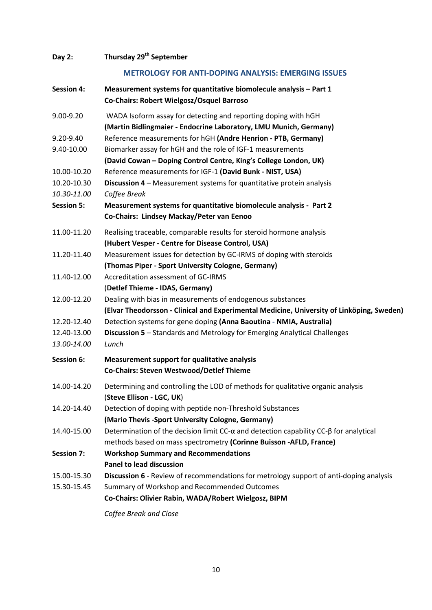| Day 2:            | Thursday 29 <sup>th</sup> September                                                                                                 |
|-------------------|-------------------------------------------------------------------------------------------------------------------------------------|
|                   | <b>METROLOGY FOR ANTI-DOPING ANALYSIS: EMERGING ISSUES</b>                                                                          |
| <b>Session 4:</b> | Measurement systems for quantitative biomolecule analysis - Part 1<br>Co-Chairs: Robert Wielgosz/Osquel Barroso                     |
| 9.00-9.20         | WADA Isoform assay for detecting and reporting doping with hGH<br>(Martin Bidlingmaier - Endocrine Laboratory, LMU Munich, Germany) |
| 9.20-9.40         | Reference measurements for hGH (Andre Henrion - PTB, Germany)                                                                       |
| 9.40-10.00        | Biomarker assay for hGH and the role of IGF-1 measurements<br>(David Cowan - Doping Control Centre, King's College London, UK)      |
| 10.00-10.20       | Reference measurements for IGF-1 (David Bunk - NIST, USA)                                                                           |
| 10.20-10.30       | Discussion 4 - Measurement systems for quantitative protein analysis                                                                |
| 10.30-11.00       | Coffee Break                                                                                                                        |
| <b>Session 5:</b> | Measurement systems for quantitative biomolecule analysis - Part 2<br>Co-Chairs: Lindsey Mackay/Peter van Eenoo                     |
| 11.00-11.20       | Realising traceable, comparable results for steroid hormone analysis<br>(Hubert Vesper - Centre for Disease Control, USA)           |
| 11.20-11.40       | Measurement issues for detection by GC-IRMS of doping with steroids                                                                 |
|                   | (Thomas Piper - Sport University Cologne, Germany)                                                                                  |
| 11.40-12.00       | Accreditation assessment of GC-IRMS                                                                                                 |
|                   | (Detlef Thieme - IDAS, Germany)                                                                                                     |
| 12.00-12.20       | Dealing with bias in measurements of endogenous substances                                                                          |
|                   | (Elvar Theodorsson - Clinical and Experimental Medicine, University of Linköping, Sweden)                                           |
| 12.20-12.40       | Detection systems for gene doping (Anna Baoutina - NMIA, Australia)                                                                 |
| 12.40-13.00       | <b>Discussion 5</b> – Standards and Metrology for Emerging Analytical Challenges                                                    |
| 13.00-14.00       | Lunch                                                                                                                               |
| Session 6:        | <b>Measurement support for qualitative analysis</b><br>Co-Chairs: Steven Westwood/Detlef Thieme                                     |
| 14.00-14.20       | Determining and controlling the LOD of methods for qualitative organic analysis<br>(Steve Ellison - LGC, UK)                        |
| 14.20-14.40       | Detection of doping with peptide non-Threshold Substances<br>(Mario Thevis -Sport University Cologne, Germany)                      |
| 14.40-15.00       | Determination of the decision limit $CC$ - $\alpha$ and detection capability $CC$ - $\beta$ for analytical                          |
|                   | methods based on mass spectrometry (Corinne Buisson -AFLD, France)                                                                  |
| <b>Session 7:</b> | <b>Workshop Summary and Recommendations</b><br><b>Panel to lead discussion</b>                                                      |
| 15.00-15.30       | Discussion 6 - Review of recommendations for metrology support of anti-doping analysis                                              |
| 15.30-15.45       | Summary of Workshop and Recommended Outcomes<br>Co-Chairs: Olivier Rabin, WADA/Robert Wielgosz, BIPM                                |
|                   | Coffee Break and Close                                                                                                              |

10